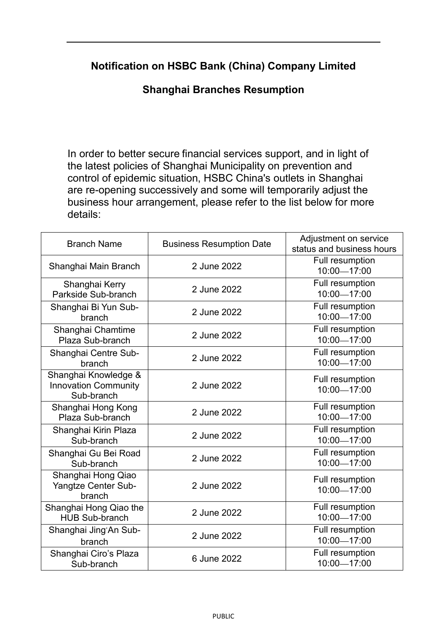## **Notification on HSBC Bank (China) Company Limited**

## **Shanghai Branches Resumption**

In order to better secure financial services support, and in light of the latest policies of Shanghai Municipality on prevention and control of epidemic situation, HSBC China's outlets in Shanghai are re-opening successively and some will temporarily adjust the business hour arrangement, please refer to the list below for more details:

| <b>Branch Name</b>                                                | <b>Business Resumption Date</b> | Adjustment on service<br>status and business hours |
|-------------------------------------------------------------------|---------------------------------|----------------------------------------------------|
| Shanghai Main Branch                                              | 2 June 2022                     | Full resumption<br>10:00-17:00                     |
| Shanghai Kerry<br>Parkside Sub-branch                             | 2 June 2022                     | Full resumption<br>10:00-17:00                     |
| Shanghai Bi Yun Sub-<br>branch                                    | 2 June 2022                     | Full resumption<br>10:00-17:00                     |
| Shanghai Chamtime<br>Plaza Sub-branch                             | 2 June 2022                     | Full resumption<br>10:00-17:00                     |
| Shanghai Centre Sub-<br>branch                                    | 2 June 2022                     | Full resumption<br>10:00-17:00                     |
| Shanghai Knowledge &<br><b>Innovation Community</b><br>Sub-branch | 2 June 2022                     | Full resumption<br>10:00-17:00                     |
| Shanghai Hong Kong<br>Plaza Sub-branch                            | 2 June 2022                     | Full resumption<br>10:00-17:00                     |
| Shanghai Kirin Plaza<br>Sub-branch                                | 2 June 2022                     | Full resumption<br>10:00-17:00                     |
| Shanghai Gu Bei Road<br>Sub-branch                                | 2 June 2022                     | Full resumption<br>10:00-17:00                     |
| Shanghai Hong Qiao<br><b>Yangtze Center Sub-</b><br>branch        | 2 June 2022                     | Full resumption<br>10:00-17:00                     |
| Shanghai Hong Qiao the<br><b>HUB Sub-branch</b>                   | 2 June 2022                     | <b>Full resumption</b><br>10:00-17:00              |
| Shanghai Jing'An Sub-<br>branch                                   | 2 June 2022                     | Full resumption<br>10:00-17:00                     |
| Shanghai Ciro's Plaza<br>Sub-branch                               | 6 June 2022                     | Full resumption<br>10:00-17:00                     |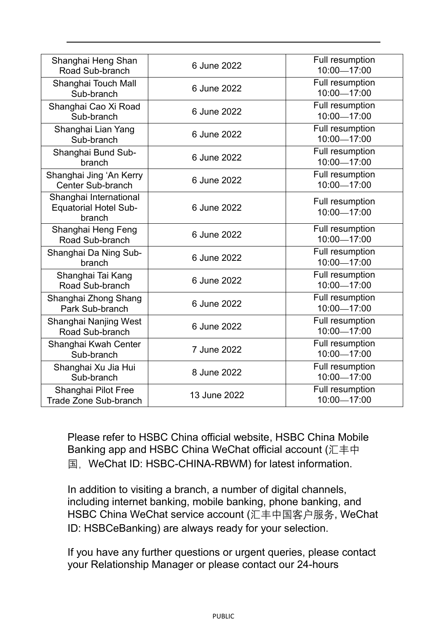| Shanghai Heng Shan<br>Road Sub-branch                            | 6 June 2022  | Full resumption<br>10:00-17:00 |
|------------------------------------------------------------------|--------------|--------------------------------|
| Shanghai Touch Mall<br>Sub-branch                                | 6 June 2022  | Full resumption<br>10:00-17:00 |
| Shanghai Cao Xi Road<br>Sub-branch                               | 6 June 2022  | Full resumption<br>10:00-17:00 |
| Shanghai Lian Yang<br>Sub-branch                                 | 6 June 2022  | Full resumption<br>10:00-17:00 |
| Shanghai Bund Sub-<br>branch                                     | 6 June 2022  | Full resumption<br>10:00-17:00 |
| Shanghai Jing 'An Kerry<br><b>Center Sub-branch</b>              | 6 June 2022  | Full resumption<br>10:00-17:00 |
| Shanghai International<br><b>Equatorial Hotel Sub-</b><br>branch | 6 June 2022  | Full resumption<br>10:00-17:00 |
| Shanghai Heng Feng<br>Road Sub-branch                            | 6 June 2022  | Full resumption<br>10:00-17:00 |
| Shanghai Da Ning Sub-<br>branch                                  | 6 June 2022  | Full resumption<br>10:00-17:00 |
| Shanghai Tai Kang<br>Road Sub-branch                             | 6 June 2022  | Full resumption<br>10:00-17:00 |
| Shanghai Zhong Shang<br>Park Sub-branch                          | 6 June 2022  | Full resumption<br>10:00-17:00 |
| Shanghai Nanjing West<br>Road Sub-branch                         | 6 June 2022  | Full resumption<br>10:00-17:00 |
| Shanghai Kwah Center<br>Sub-branch                               | 7 June 2022  | Full resumption<br>10:00-17:00 |
| Shanghai Xu Jia Hui<br>Sub-branch                                | 8 June 2022  | Full resumption<br>10:00-17:00 |
| Shanghai Pilot Free<br><b>Trade Zone Sub-branch</b>              | 13 June 2022 | Full resumption<br>10:00-17:00 |

Please refer to HSBC China official website, HSBC China Mobile Banking app and HSBC China WeChat official account (汇丰中 国, WeChat ID: HSBC-CHINA-RBWM) for latest information.

In addition to visiting a branch, a number of digital channels, including internet banking, mobile banking, phone banking, and HSBC China WeChat service account (汇丰中国客户服务, WeChat ID: HSBCeBanking) are always ready for your selection.

If you have any further questions or urgent queries, please contact your Relationship Manager or please contact our 24-hours